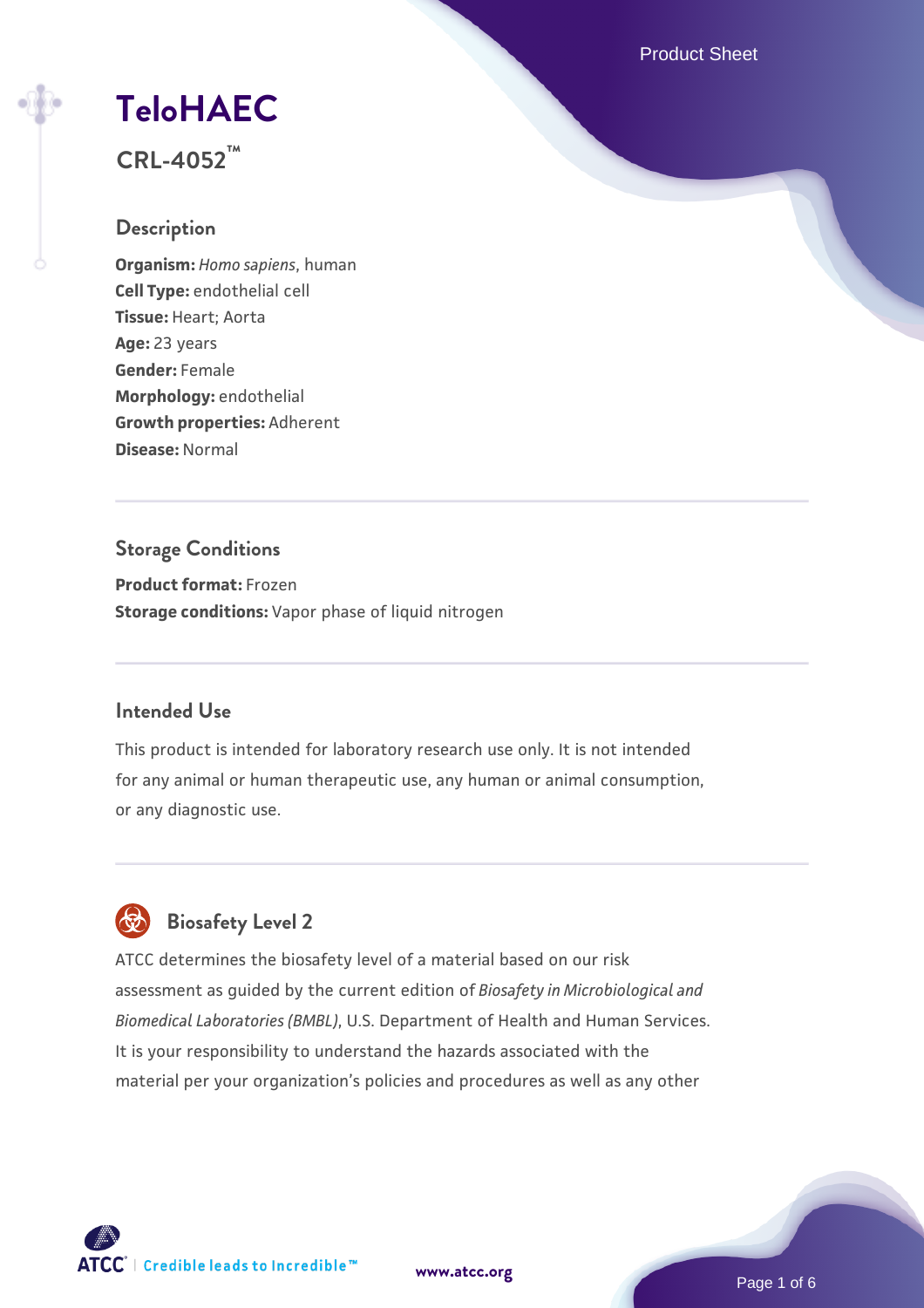Product Sheet

# **[TeloHAEC](https://www.atcc.org/products/crl-4052)**

**CRL-4052™**

## **Description**

**Organism:** *Homo sapiens*, human **Cell Type:** endothelial cell **Tissue:** Heart; Aorta **Age:** 23 years **Gender:** Female **Morphology:** endothelial **Growth properties:** Adherent **Disease:** Normal

## **Storage Conditions**

**Product format:** Frozen **Storage conditions:** Vapor phase of liquid nitrogen

## **Intended Use**

This product is intended for laboratory research use only. It is not intended for any animal or human therapeutic use, any human or animal consumption, or any diagnostic use.



## **Biosafety Level 2**

ATCC determines the biosafety level of a material based on our risk assessment as guided by the current edition of *Biosafety in Microbiological and Biomedical Laboratories (BMBL)*, U.S. Department of Health and Human Services. It is your responsibility to understand the hazards associated with the material per your organization's policies and procedures as well as any other

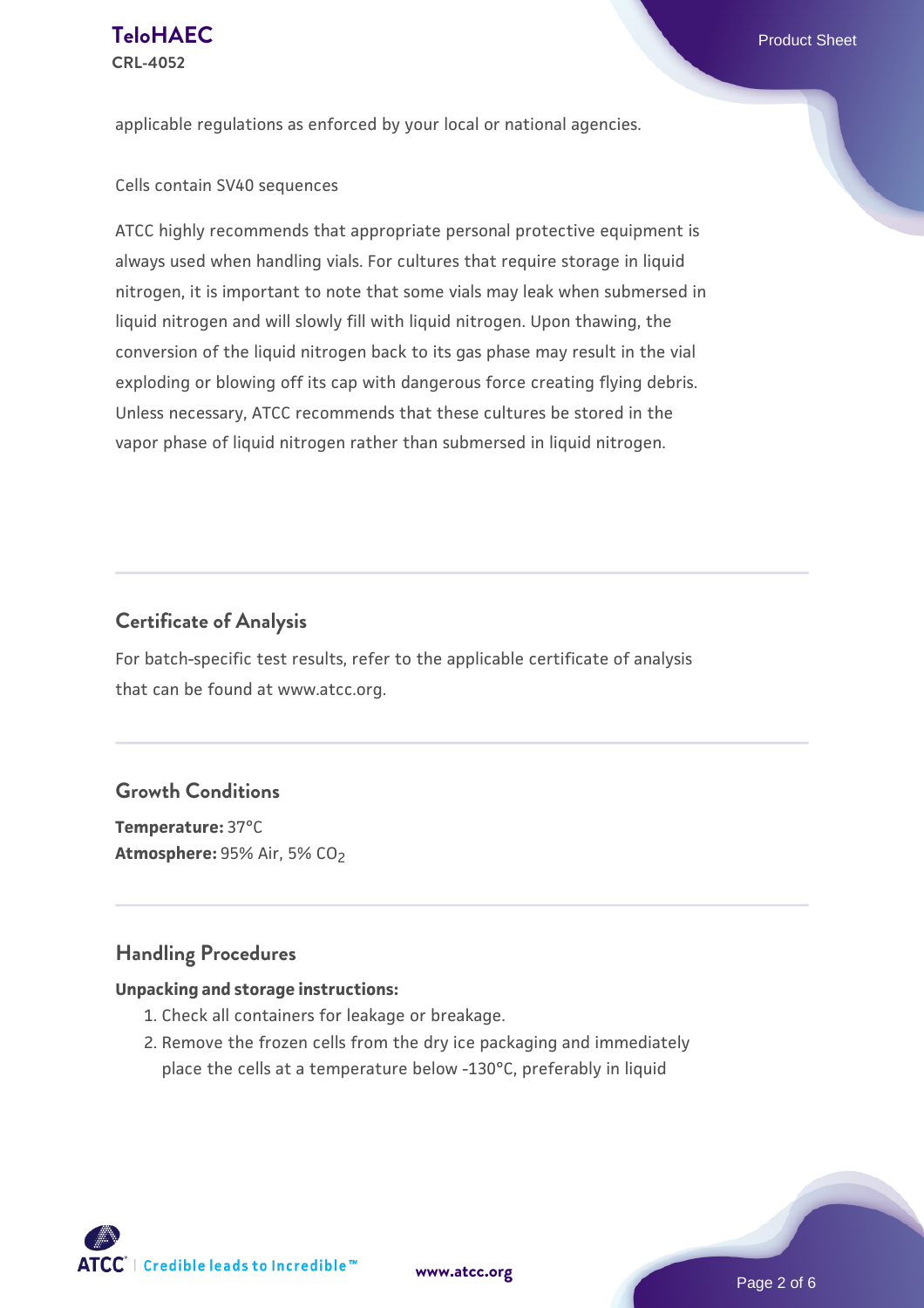applicable regulations as enforced by your local or national agencies.

Cells contain SV40 sequences

ATCC highly recommends that appropriate personal protective equipment is always used when handling vials. For cultures that require storage in liquid nitrogen, it is important to note that some vials may leak when submersed in liquid nitrogen and will slowly fill with liquid nitrogen. Upon thawing, the conversion of the liquid nitrogen back to its gas phase may result in the vial exploding or blowing off its cap with dangerous force creating flying debris. Unless necessary, ATCC recommends that these cultures be stored in the vapor phase of liquid nitrogen rather than submersed in liquid nitrogen.

## **Certificate of Analysis**

For batch-specific test results, refer to the applicable certificate of analysis that can be found at www.atcc.org.

## **Growth Conditions**

**Temperature:** 37°C **Atmosphere: 95% Air, 5% CO<sub>2</sub>** 

## **Handling Procedures**

#### **Unpacking and storage instructions:**

- 1. Check all containers for leakage or breakage.
- 2. Remove the frozen cells from the dry ice packaging and immediately place the cells at a temperature below -130°C, preferably in liquid

 $\mathsf{ATCC}^{\dagger} \mid$  Credible leads to Incredible  $\mathbb{\mathbb{M}}$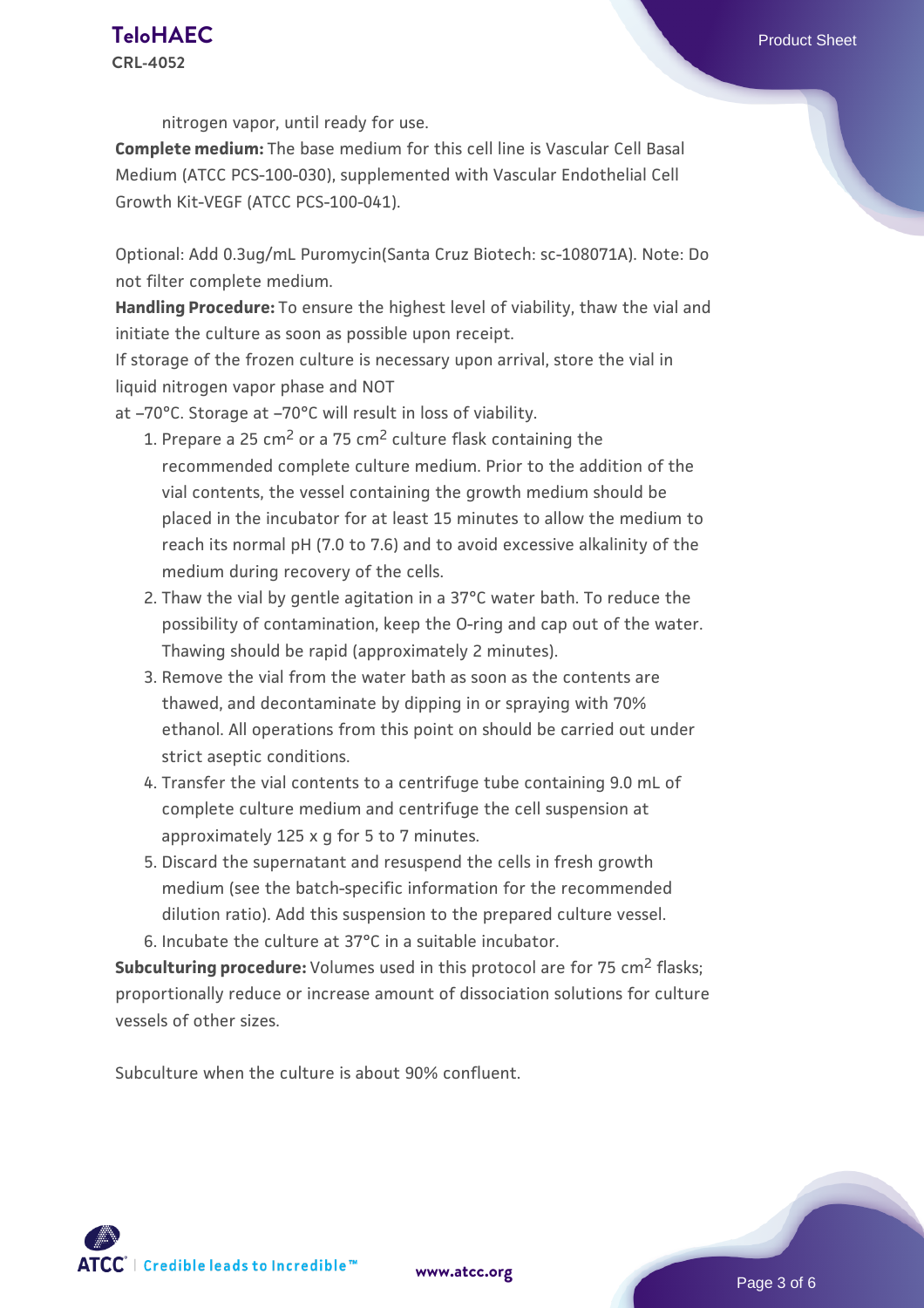nitrogen vapor, until ready for use.

**Complete medium:** The base medium for this cell line is Vascular Cell Basal Medium (ATCC PCS-100-030), supplemented with Vascular Endothelial Cell Growth Kit-VEGF (ATCC PCS-100-041).

Optional: Add 0.3ug/mL Puromycin(Santa Cruz Biotech: sc-108071A). Note: Do not filter complete medium.

**Handling Procedure:** To ensure the highest level of viability, thaw the vial and initiate the culture as soon as possible upon receipt.

If storage of the frozen culture is necessary upon arrival, store the vial in liquid nitrogen vapor phase and NOT

at –70°C. Storage at –70°C will result in loss of viability.

- 1. Prepare a 25 cm<sup>2</sup> or a 75 cm<sup>2</sup> culture flask containing the recommended complete culture medium. Prior to the addition of the vial contents, the vessel containing the growth medium should be placed in the incubator for at least 15 minutes to allow the medium to reach its normal pH (7.0 to 7.6) and to avoid excessive alkalinity of the medium during recovery of the cells.
- 2. Thaw the vial by gentle agitation in a 37°C water bath. To reduce the possibility of contamination, keep the O-ring and cap out of the water. Thawing should be rapid (approximately 2 minutes).
- 3. Remove the vial from the water bath as soon as the contents are thawed, and decontaminate by dipping in or spraying with 70% ethanol. All operations from this point on should be carried out under strict aseptic conditions.
- 4. Transfer the vial contents to a centrifuge tube containing 9.0 mL of complete culture medium and centrifuge the cell suspension at approximately 125 x g for 5 to 7 minutes.
- Discard the supernatant and resuspend the cells in fresh growth 5. medium (see the batch-specific information for the recommended dilution ratio). Add this suspension to the prepared culture vessel.
- 6. Incubate the culture at 37°C in a suitable incubator.

**Subculturing procedure:** Volumes used in this protocol are for 75 cm<sup>2</sup> flasks; proportionally reduce or increase amount of dissociation solutions for culture vessels of other sizes.

Subculture when the culture is about 90% confluent.

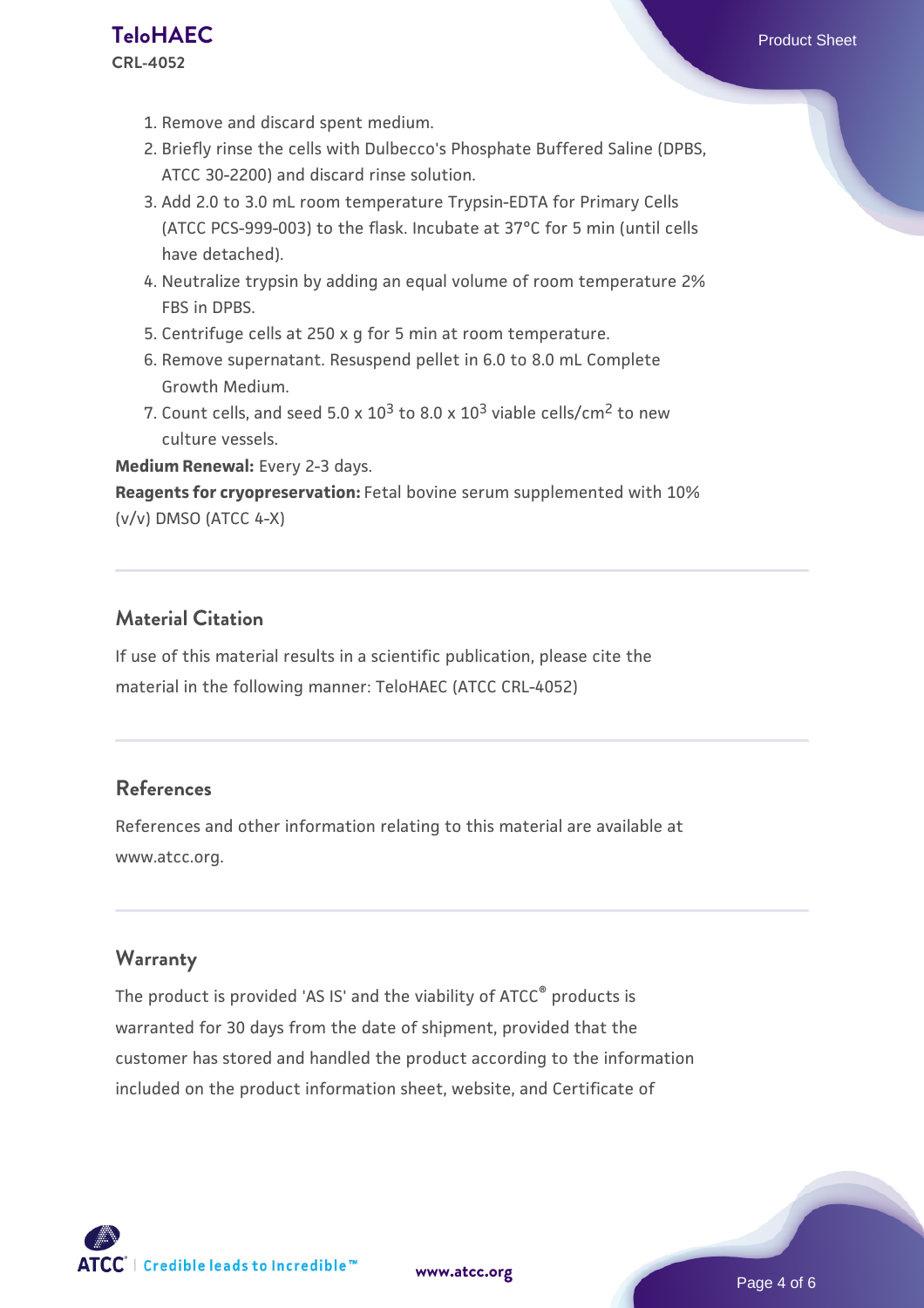1. Remove and discard spent medium.

**CRL-4052**

- 2. Briefly rinse the cells with Dulbecco's Phosphate Buffered Saline (DPBS, ATCC 30-2200) and discard rinse solution.
- 3. Add 2.0 to 3.0 mL room temperature Trypsin-EDTA for Primary Cells (ATCC PCS-999-003) to the flask. Incubate at 37°C for 5 min (until cells have detached).
- 4. Neutralize trypsin by adding an equal volume of room temperature 2% FBS in DPBS.
- 5. Centrifuge cells at 250 x g for 5 min at room temperature.
- 6. Remove supernatant. Resuspend pellet in 6.0 to 8.0 mL Complete Growth Medium.
- 7. Count cells, and seed 5.0 x 10<sup>3</sup> to 8.0 x 10<sup>3</sup> viable cells/cm<sup>2</sup> to new culture vessels.

**Medium Renewal:** Every 2-3 days.

**Reagents for cryopreservation:** Fetal bovine serum supplemented with 10% (v/v) DMSO (ATCC 4-X)

#### **Material Citation**

If use of this material results in a scientific publication, please cite the material in the following manner: TeloHAEC (ATCC CRL-4052)

#### **References**

References and other information relating to this material are available at www.atcc.org.

## **Warranty**

The product is provided 'AS IS' and the viability of ATCC® products is warranted for 30 days from the date of shipment, provided that the customer has stored and handled the product according to the information included on the product information sheet, website, and Certificate of

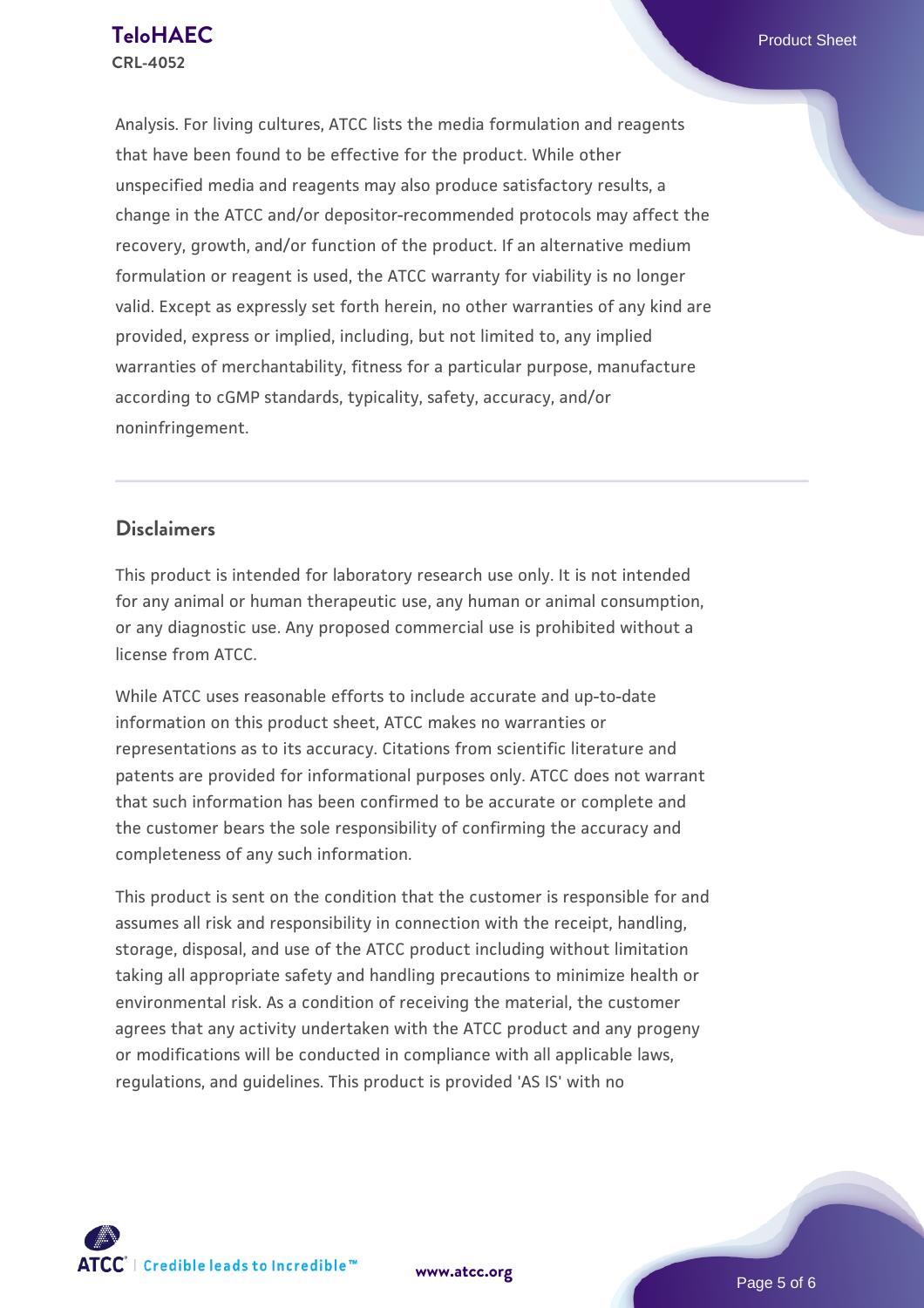Analysis. For living cultures, ATCC lists the media formulation and reagents that have been found to be effective for the product. While other unspecified media and reagents may also produce satisfactory results, a change in the ATCC and/or depositor-recommended protocols may affect the recovery, growth, and/or function of the product. If an alternative medium formulation or reagent is used, the ATCC warranty for viability is no longer valid. Except as expressly set forth herein, no other warranties of any kind are provided, express or implied, including, but not limited to, any implied warranties of merchantability, fitness for a particular purpose, manufacture according to cGMP standards, typicality, safety, accuracy, and/or noninfringement.

## **Disclaimers**

This product is intended for laboratory research use only. It is not intended for any animal or human therapeutic use, any human or animal consumption, or any diagnostic use. Any proposed commercial use is prohibited without a license from ATCC.

While ATCC uses reasonable efforts to include accurate and up-to-date information on this product sheet, ATCC makes no warranties or representations as to its accuracy. Citations from scientific literature and patents are provided for informational purposes only. ATCC does not warrant that such information has been confirmed to be accurate or complete and the customer bears the sole responsibility of confirming the accuracy and completeness of any such information.

This product is sent on the condition that the customer is responsible for and assumes all risk and responsibility in connection with the receipt, handling, storage, disposal, and use of the ATCC product including without limitation taking all appropriate safety and handling precautions to minimize health or environmental risk. As a condition of receiving the material, the customer agrees that any activity undertaken with the ATCC product and any progeny or modifications will be conducted in compliance with all applicable laws, regulations, and guidelines. This product is provided 'AS IS' with no



**[www.atcc.org](http://www.atcc.org)**

Page 5 of 6